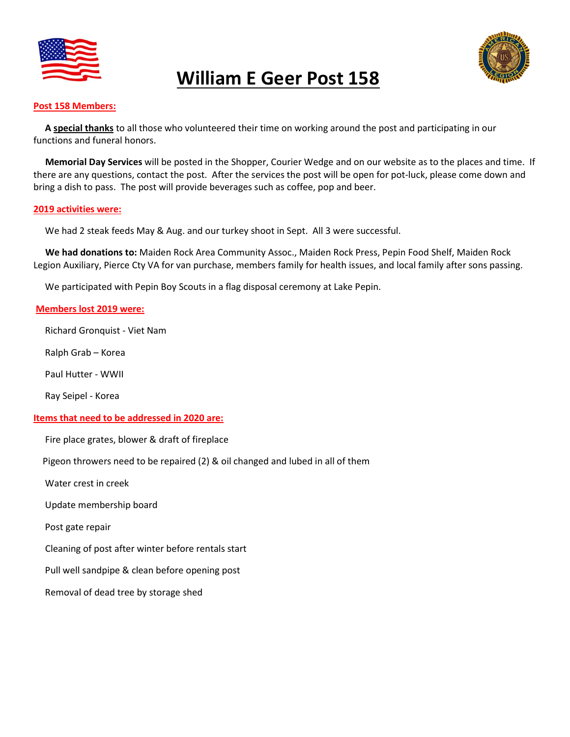

# William E Geer Post 158



#### Post 158 Members:

A special thanks to all those who volunteered their time on working around the post and participating in our functions and funeral honors.

 Memorial Day Services will be posted in the Shopper, Courier Wedge and on our website as to the places and time. If there are any questions, contact the post. After the services the post will be open for pot-luck, please come down and bring a dish to pass. The post will provide beverages such as coffee, pop and beer.

#### 2019 activities were:

We had 2 steak feeds May & Aug. and our turkey shoot in Sept. All 3 were successful.

 We had donations to: Maiden Rock Area Community Assoc., Maiden Rock Press, Pepin Food Shelf, Maiden Rock Legion Auxiliary, Pierce Cty VA for van purchase, members family for health issues, and local family after sons passing.

We participated with Pepin Boy Scouts in a flag disposal ceremony at Lake Pepin.

#### Members lost 2019 were:

Richard Gronquist - Viet Nam

Ralph Grab – Korea

Paul Hutter - WWII

Ray Seipel - Korea

#### Items that need to be addressed in 2020 are:

Fire place grates, blower & draft of fireplace

Pigeon throwers need to be repaired (2) & oil changed and lubed in all of them

Water crest in creek

Update membership board

Post gate repair

Cleaning of post after winter before rentals start

Pull well sandpipe & clean before opening post

Removal of dead tree by storage shed